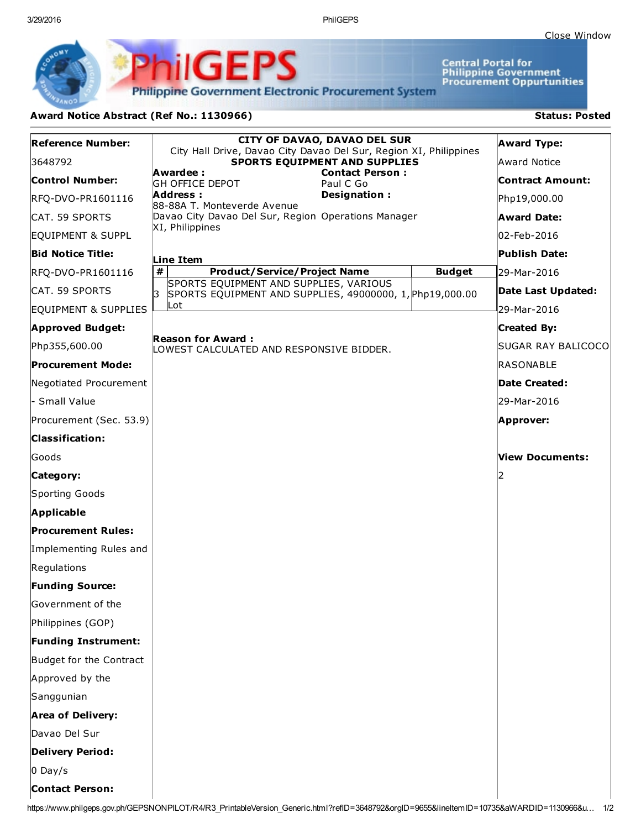3/29/2016 PhilGEPS

**Central Portal for<br>Philippine Government<br>Procurement Oppurtunities** 

**Philippine Government Electronic Procurement System** 

**PhilGEPS** 

## Award Notice Abstract (Ref No.: 1130966) Status: Posted

| <b>Reference Number:</b>   | <b>CITY OF DAVAO, DAVAO DEL SUR</b>                                                                      | <b>Award Type:</b>  |
|----------------------------|----------------------------------------------------------------------------------------------------------|---------------------|
| 3648792                    | City Hall Drive, Davao City Davao Del Sur, Region XI, Philippines<br>SPORTS EQUIPMENT AND SUPPLIES       | <b>Award Notice</b> |
| <b>Control Number:</b>     | Awardee:<br><b>Contact Person:</b><br><b>GH OFFICE DEPOT</b><br>Paul C Go                                | Contract Amount:    |
| RFQ-DVO-PR1601116          | Designation:<br>Address:<br>88-88A T. Monteverde Avenue                                                  | Php19,000.00        |
| CAT. 59 SPORTS             | Davao City Davao Del Sur, Region Operations Manager                                                      | <b>Award Date:</b>  |
| EQUIPMENT & SUPPL          | XI, Philippines                                                                                          | 02-Feb-2016         |
| <b>Bid Notice Title:</b>   | Line Item                                                                                                | Publish Date:       |
| RFQ-DVO-PR1601116          | #<br><b>Product/Service/Project Name</b><br><b>Budget</b>                                                | 29-Mar-2016         |
| CAT. 59 SPORTS             | SPORTS EQUIPMENT AND SUPPLIES, VARIOUS<br>Iз<br>SPORTS EQUIPMENT AND SUPPLIES, 49000000, 1, Php19,000.00 | Date Last Updated:  |
| EQUIPMENT & SUPPLIES       | Lot                                                                                                      | 29-Mar-2016         |
| <b>Approved Budget:</b>    |                                                                                                          | <b>Created By:</b>  |
| Php355,600.00              | <b>Reason for Award:</b><br>LOWEST CALCULATED AND RESPONSIVE BIDDER.                                     | SUGAR RAY BALICOCO  |
| <b>Procurement Mode:</b>   |                                                                                                          | RASONABLE           |
| Negotiated Procurement     |                                                                                                          | Date Created:       |
| - Small Value              |                                                                                                          | 29-Mar-2016         |
| Procurement (Sec. 53.9)    |                                                                                                          | Approver:           |
| <b>Classification:</b>     |                                                                                                          |                     |
| Goods                      |                                                                                                          | View Documents:     |
| Category:                  |                                                                                                          |                     |
| Sporting Goods             |                                                                                                          |                     |
| Applicable                 |                                                                                                          |                     |
| <b>Procurement Rules:</b>  |                                                                                                          |                     |
| Implementing Rules and     |                                                                                                          |                     |
| Regulations                |                                                                                                          |                     |
| <b>Funding Source:</b>     |                                                                                                          |                     |
| Government of the          |                                                                                                          |                     |
| Philippines (GOP)          |                                                                                                          |                     |
| <b>Funding Instrument:</b> |                                                                                                          |                     |
| Budget for the Contract    |                                                                                                          |                     |
| Approved by the            |                                                                                                          |                     |
| Sanggunian                 |                                                                                                          |                     |
| <b>Area of Delivery:</b>   |                                                                                                          |                     |
| Davao Del Sur              |                                                                                                          |                     |
| <b>Delivery Period:</b>    |                                                                                                          |                     |
| $0$ Day/s                  |                                                                                                          |                     |
| <b>Contact Person:</b>     |                                                                                                          |                     |